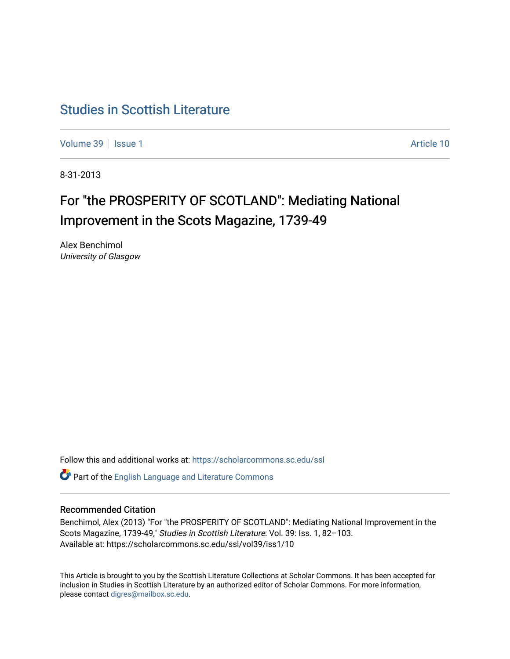## [Studies in Scottish Literature](https://scholarcommons.sc.edu/ssl)

[Volume 39](https://scholarcommons.sc.edu/ssl/vol39) | [Issue 1](https://scholarcommons.sc.edu/ssl/vol39/iss1) Article 10

8-31-2013

# For "the PROSPERITY OF SCOTLAND": Mediating National Improvement in the Scots Magazine, 1739-49

Alex Benchimol University of Glasgow

Follow this and additional works at: [https://scholarcommons.sc.edu/ssl](https://scholarcommons.sc.edu/ssl?utm_source=scholarcommons.sc.edu%2Fssl%2Fvol39%2Fiss1%2F10&utm_medium=PDF&utm_campaign=PDFCoverPages) 

Part of the [English Language and Literature Commons](http://network.bepress.com/hgg/discipline/455?utm_source=scholarcommons.sc.edu%2Fssl%2Fvol39%2Fiss1%2F10&utm_medium=PDF&utm_campaign=PDFCoverPages)

## Recommended Citation

Benchimol, Alex (2013) "For "the PROSPERITY OF SCOTLAND": Mediating National Improvement in the Scots Magazine, 1739-49," Studies in Scottish Literature: Vol. 39: Iss. 1, 82–103. Available at: https://scholarcommons.sc.edu/ssl/vol39/iss1/10

This Article is brought to you by the Scottish Literature Collections at Scholar Commons. It has been accepted for inclusion in Studies in Scottish Literature by an authorized editor of Scholar Commons. For more information, please contact [digres@mailbox.sc.edu](mailto:digres@mailbox.sc.edu).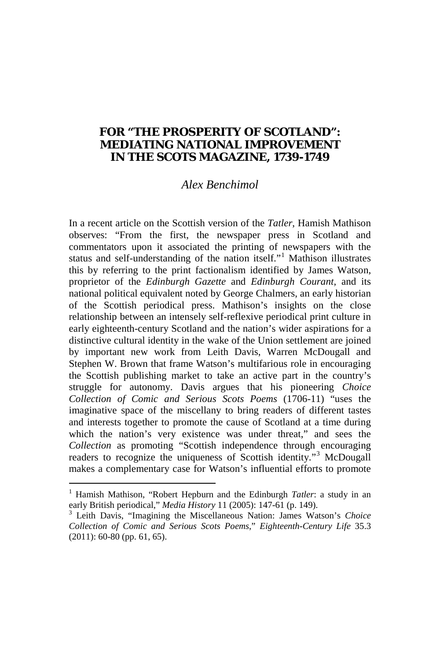### **FOR "THE PROSPERITY OF SCOTLAND": MEDIATING NATIONAL IMPROVEMENT IN THE** *SCOTS MAGAZINE***, 1739-1749**

#### *Alex Benchimol*

In a recent article on the Scottish version of the *Tatler*, Hamish Mathison observes: "From the first, the newspaper press in Scotland and commentators upon it associated the printing of newspapers with the status and self-understanding of the nation itself."<sup>[1](#page-22-0)</sup> Mathison illustrates this by referring to the print factionalism identified by James Watson, proprietor of the *Edinburgh Gazette* and *Edinburgh Courant*, and its national political equivalent noted by George Chalmers, an early historian of the Scottish periodical press. Mathison's insights on the close relationship between an intensely self-reflexive periodical print culture in early eighteenth-century Scotland and the nation's wider aspirations for a distinctive cultural identity in the wake of the Union settlement are joined by important new work from Leith Davis, Warren McDougall and Stephen W. Brown that frame Watson's multifarious role in encouraging the Scottish publishing market to take an active part in the country's struggle for autonomy. Davis argues that his pioneering *Choice Collection of Comic and Serious Scots Poems* (1706-11) "uses the imaginative space of the miscellany to bring readers of different tastes and interests together to promote the cause of Scotland at a time during which the nation's very existence was under threat," and sees the *Collection* as promoting "Scottish independence through encouraging readers to recognize the uniqueness of Scottish identity."<sup>[3](#page-1-0)</sup> McDougall makes a complementary case for Watson's influential efforts to promote

<span id="page-1-1"></span><sup>&</sup>lt;sup>1</sup> Hamish Mathison, "Robert Hepburn and the Edinburgh *Tatler*: a study in an early British periodical," *Media History* 11 (2005): 147-61 (p. 149).

<span id="page-1-0"></span><sup>&</sup>lt;sup>3</sup> Leith Davis, "Imagining the Miscellaneous Nation: James Watson's *Choice Collection of Comic and Serious Scots Poems*," *Eighteenth-Century Life* 35.3 (2011): 60-80 (pp. 61, 65).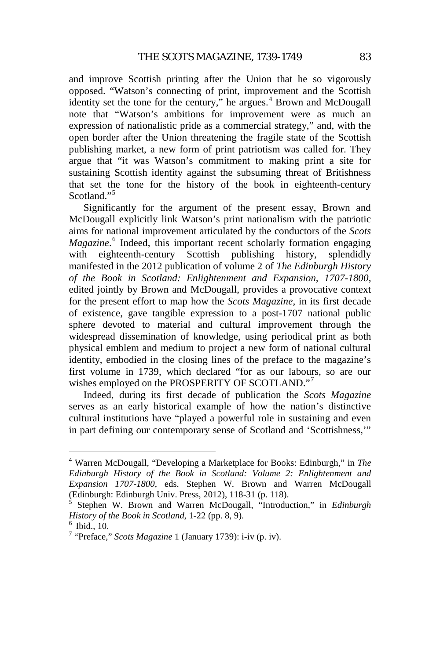and improve Scottish printing after the Union that he so vigorously opposed. "Watson's connecting of print, improvement and the Scottish identity set the tone for the century," he argues. $4$  Brown and McDougall note that "Watson's ambitions for improvement were as much an expression of nationalistic pride as a commercial strategy," and, with the open border after the Union threatening the fragile state of the Scottish publishing market, a new form of print patriotism was called for. They argue that "it was Watson's commitment to making print a site for sustaining Scottish identity against the subsuming threat of Britishness that set the tone for the history of the book in eighteenth-century Scotland."<sup>[5](#page-2-0)</sup>

Significantly for the argument of the present essay, Brown and McDougall explicitly link Watson's print nationalism with the patriotic aims for national improvement articulated by the conductors of the *Scots Magazine*. [6](#page-2-1) Indeed, this important recent scholarly formation engaging with eighteenth-century Scottish publishing history, splendidly manifested in the 2012 publication of volume 2 of *The Edinburgh History of the Book in Scotland: Enlightenment and Expansion, 1707-1800*, edited jointly by Brown and McDougall, provides a provocative context for the present effort to map how the *Scots Magazine*, in its first decade of existence, gave tangible expression to a post-1707 national public sphere devoted to material and cultural improvement through the widespread dissemination of knowledge, using periodical print as both physical emblem and medium to project a new form of national cultural identity, embodied in the closing lines of the preface to the magazine's first volume in 1739, which declared "for as our labours, so are our wishes employed on the PROSPERITY OF SCOTLAND."<sup>[7](#page-2-2)</sup>

<span id="page-2-3"></span>Indeed, during its first decade of publication the *Scots Magazine* serves as an early historical example of how the nation's distinctive cultural institutions have "played a powerful role in sustaining and even in part defining our contemporary sense of Scotland and 'Scottishness,'"

 <sup>4</sup> Warren McDougall, "Developing a Marketplace for Books: Edinburgh," in *The Edinburgh History of the Book in Scotland: Volume 2: Enlightenment and Expansion 1707-1800*, eds. Stephen W. Brown and Warren McDougall (Edinburgh: Edinburgh Univ. Press, 2012), 118-31 (p. 118). <sup>5</sup> Stephen W. Brown and Warren McDougall, "Introduction," in *Edinburgh* 

<span id="page-2-0"></span>*History of the Book in Scotland*, 1-22 (pp. 8, 9).<br><sup>6</sup> Ibid., 10.<br><sup>7</sup> "Preface," *Scots Magazine* 1 (January 1739): i-iv (p. iv).

<span id="page-2-1"></span>

<span id="page-2-2"></span>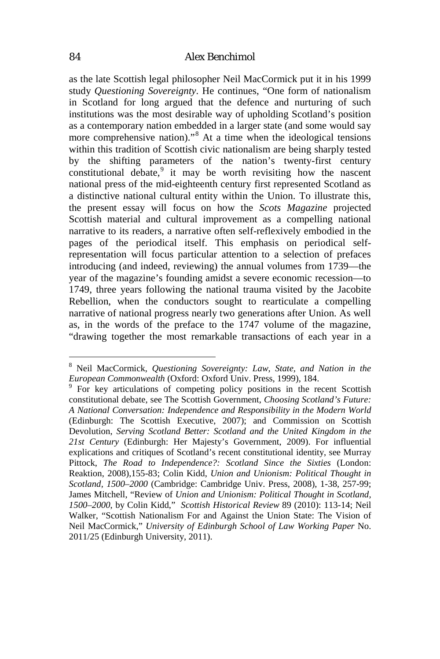#### 84 *Alex Benchimol*

as the late Scottish legal philosopher Neil MacCormick put it in his 1999 study *Questioning Sovereignty*. He continues, "One form of nationalism in Scotland for long argued that the defence and nurturing of such institutions was the most desirable way of upholding Scotland's position as a contemporary nation embedded in a larger state (and some would say more comprehensive nation).<sup>3[8](#page-2-3)</sup> At a time when the ideological tensions within this tradition of Scottish civic nationalism are being sharply tested by the shifting parameters of the nation's twenty-first century constitutional debate, $9$  it may be worth revisiting how the nascent national press of the mid-eighteenth century first represented Scotland as a distinctive national cultural entity within the Union. To illustrate this, the present essay will focus on how the *Scots Magazine* projected Scottish material and cultural improvement as a compelling national narrative to its readers, a narrative often self-reflexively embodied in the pages of the periodical itself. This emphasis on periodical selfrepresentation will focus particular attention to a selection of prefaces introducing (and indeed, reviewing) the annual volumes from 1739—the year of the magazine's founding amidst a severe economic recession—to 1749, three years following the national trauma visited by the Jacobite Rebellion, when the conductors sought to rearticulate a compelling narrative of national progress nearly two generations after Union. As well as, in the words of the preface to the 1747 volume of the magazine, "drawing together the most remarkable transactions of each year in a

 <sup>8</sup> Neil MacCormick, *Questioning Sovereignty: Law, State, and Nation in the European Commonwealth* (Oxford: Oxford Univ. Press, 1999), 184.<br><sup>9</sup> For key articulations of competing policy positions in the recent Scottish

<span id="page-3-1"></span><span id="page-3-0"></span>constitutional debate, see The Scottish Government, *Choosing Scotland's Future: A National Conversation: Independence and Responsibility in the Modern World* (Edinburgh: The Scottish Executive, 2007); and Commission on Scottish Devolution, *Serving Scotland Better: Scotland and the United Kingdom in the 21st Century* (Edinburgh: Her Majesty's Government, 2009). For influential explications and critiques of Scotland's recent constitutional identity, see Murray Pittock, *The Road to Independence?: Scotland Since the Sixties* (London: Reaktion, 2008),155-83; Colin Kidd, *Union and Unionism: Political Thought in Scotland, 1500–2000* (Cambridge: Cambridge Univ. Press, 2008), 1-38, 257-99; James Mitchell, "Review of *Union and Unionism: Political Thought in Scotland, 1500–2000*, by Colin Kidd," *Scottish Historical Review* 89 (2010): 113-14; Neil Walker, "Scottish Nationalism For and Against the Union State: The Vision of Neil MacCormick," *University of Edinburgh School of Law Working Paper* No. 2011/25 (Edinburgh University, 2011).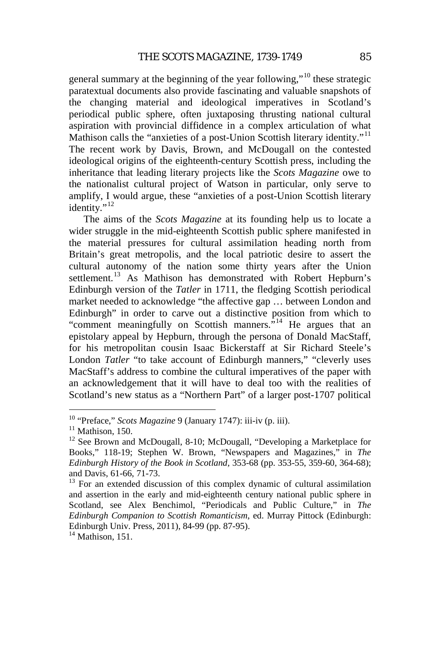general summary at the beginning of the year following,"[10](#page-3-1) these strategic paratextual documents also provide fascinating and valuable snapshots of the changing material and ideological imperatives in Scotland's periodical public sphere, often juxtaposing thrusting national cultural aspiration with provincial diffidence in a complex articulation of what Mathison calls the "anxieties of a post-Union Scottish literary identity."<sup>[11](#page-4-0)</sup> The recent work by Davis, Brown, and McDougall on the contested ideological origins of the eighteenth-century Scottish press, including the inheritance that leading literary projects like the *Scots Magazine* owe to the nationalist cultural project of Watson in particular, only serve to amplify, I would argue, these "anxieties of a post-Union Scottish literary identity."<sup>[12](#page-4-1)</sup>

The aims of the *Scots Magazine* at its founding help us to locate a wider struggle in the mid-eighteenth Scottish public sphere manifested in the material pressures for cultural assimilation heading north from Britain's great metropolis, and the local patriotic desire to assert the cultural autonomy of the nation some thirty years after the Union settlement.<sup>[13](#page-4-2)</sup> As Mathison has demonstrated with Robert Hepburn's Edinburgh version of the *Tatler* in 1711, the fledging Scottish periodical market needed to acknowledge "the affective gap … between London and Edinburgh" in order to carve out a distinctive position from which to "comment meaningfully on Scottish manners."<sup>[14](#page-4-3)</sup> He argues that an epistolary appeal by Hepburn, through the persona of Donald MacStaff, for his metropolitan cousin Isaac Bickerstaff at Sir Richard Steele's London *Tatler* "to take account of Edinburgh manners," "cleverly uses MacStaff's address to combine the cultural imperatives of the paper with an acknowledgement that it will have to deal too with the realities of Scotland's new status as a "Northern Part" of a larger post-1707 political

<span id="page-4-3"></span>

<span id="page-4-1"></span><span id="page-4-0"></span>

<span id="page-4-4"></span><sup>&</sup>lt;sup>10</sup> "Preface," *Scots Magazine* 9 (January 1747): iii-iv (p. iii).<br><sup>11</sup> Mathison, 150.<br><sup>12</sup> See Brown and McDougall, 8-10; McDougall, "Developing a Marketplace for Books," 118-19; Stephen W. Brown, "Newspapers and Magazines," in *The Edinburgh History of the Book in Scotland,* 353-68 (pp. 353-55, 359-60, 364-68); and Davis, 61-66, 71-73.<br><sup>13</sup> For an extended discussion of this complex dynamic of cultural assimilation

<span id="page-4-2"></span>and assertion in the early and mid-eighteenth century national public sphere in Scotland, see Alex Benchimol, "Periodicals and Public Culture," in *The Edinburgh Companion to Scottish Romanticism*, ed. Murray Pittock (Edinburgh: Edinburgh Univ. Press, 2011), 84-99 (pp. 87-95). <sup>14</sup> Mathison, 151.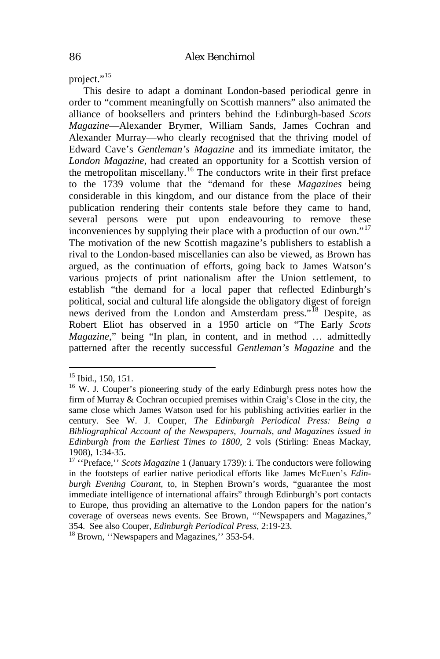project."<sup>[15](#page-4-4)</sup>

This desire to adapt a dominant London-based periodical genre in order to "comment meaningfully on Scottish manners" also animated the alliance of booksellers and printers behind the Edinburgh-based *Scots Magazine*—Alexander Brymer, William Sands, James Cochran and Alexander Murray—who clearly recognised that the thriving model of Edward Cave's *Gentleman's Magazine* and its immediate imitator, the *London Magazine*, had created an opportunity for a Scottish version of the metropolitan miscellany.<sup>[16](#page-5-0)</sup> The conductors write in their first preface to the 1739 volume that the "demand for these *Magazines* being considerable in this kingdom, and our distance from the place of their publication rendering their contents stale before they came to hand, several persons were put upon endeavouring to remove these inconveniences by supplying their place with a production of our own."<sup>[17](#page-5-1)</sup> The motivation of the new Scottish magazine's publishers to establish a rival to the London-based miscellanies can also be viewed, as Brown has argued, as the continuation of efforts, going back to James Watson's various projects of print nationalism after the Union settlement, to establish "the demand for a local paper that reflected Edinburgh's political, social and cultural life alongside the obligatory digest of foreign news derived from the London and Amsterdam press."<sup>[18](#page-5-2)</sup> Despite, as Robert Eliot has observed in a 1950 article on "The Early *Scots Magazine*," being "In plan, in content, and in method … admittedly patterned after the recently successful *Gentleman's Magazine* and the

<span id="page-5-0"></span><sup>&</sup>lt;sup>15</sup> Ibid., 150, 151.<br><sup>16</sup> W. J. Couper's pioneering study of the early Edinburgh press notes how the firm of Murray & Cochran occupied premises within Craig's Close in the city, the same close which James Watson used for his publishing activities earlier in the century. See W. J. Couper, *The Edinburgh Periodical Press: Being a Bibliographical Account of the Newspapers, Journals, and Magazines issued in Edinburgh from the Earliest Times to 1800*, 2 vols (Stirling: Eneas Mackay, 1908), 1:34-35. <sup>17</sup> ''Preface,'' *Scots Magazine* 1 (January 1739): i. The conductors were following

<span id="page-5-3"></span><span id="page-5-1"></span>in the footsteps of earlier native periodical efforts like James McEuen's *Edinburgh Evening Courant,* to, in Stephen Brown's words, "guarantee the most immediate intelligence of international affairs" through Edinburgh's port contacts to Europe, thus providing an alternative to the London papers for the nation's coverage of overseas news events. See Brown, "'Newspapers and Magazines," 354. See also Couper, *Edinburgh Periodical Press*, 2:19-23. <sup>18</sup> Brown, ''Newspapers and Magazines,'' 353-54.

<span id="page-5-2"></span>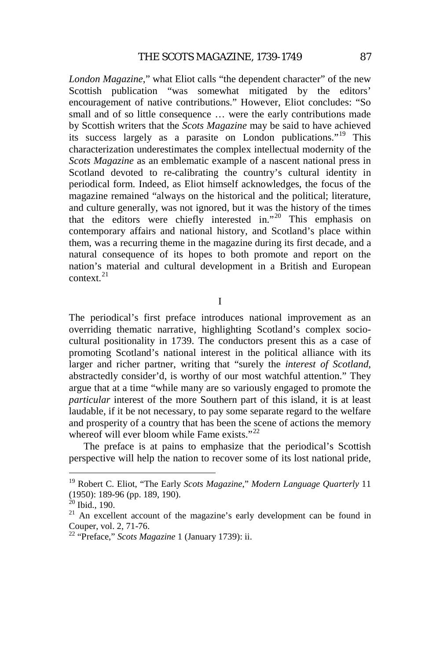*London Magazine*," what Eliot calls "the dependent character" of the new Scottish publication "was somewhat mitigated by the editors' encouragement of native contributions." However, Eliot concludes: "So small and of so little consequence … were the early contributions made by Scottish writers that the *Scots Magazine* may be said to have achieved its success largely as a parasite on London publications."<sup>[19](#page-5-3)</sup> This characterization underestimates the complex intellectual modernity of the *Scots Magazine* as an emblematic example of a nascent national press in Scotland devoted to re-calibrating the country's cultural identity in periodical form. Indeed, as Eliot himself acknowledges, the focus of the magazine remained "always on the historical and the political; literature, and culture generally, was not ignored, but it was the history of the times that the editors were chiefly interested in."[20](#page-6-0) This emphasis on contemporary affairs and national history, and Scotland's place within them, was a recurring theme in the magazine during its first decade, and a natural consequence of its hopes to both promote and report on the nation's material and cultural development in a British and European context. $21$ 

I

The periodical's first preface introduces national improvement as an overriding thematic narrative, highlighting Scotland's complex sociocultural positionality in 1739. The conductors present this as a case of promoting Scotland's national interest in the political alliance with its larger and richer partner, writing that "surely the *interest of Scotland*, abstractedly consider'd, is worthy of our most watchful attention." They argue that at a time "while many are so variously engaged to promote the *particular* interest of the more Southern part of this island, it is at least laudable, if it be not necessary, to pay some separate regard to the welfare and prosperity of a country that has been the scene of actions the memory whereof will ever bloom while Fame exists."<sup>[22](#page-6-2)</sup>

<span id="page-6-3"></span>The preface is at pains to emphasize that the periodical's Scottish perspective will help the nation to recover some of its lost national pride,

 <sup>19</sup> Robert C. Eliot, "The Early *Scots Magazine*," *Modern Language Quarterly* <sup>11</sup> (1950): 189-96 (pp. 189, 190).<br><sup>20</sup> Ibid., 190.<br><sup>21</sup> An excellent account of the magazine's early development can be found in

<span id="page-6-0"></span>

<span id="page-6-1"></span>Couper, vol. 2, 71-76. <sup>22</sup> "Preface," *Scots Magazine* 1 (January 1739): ii.

<span id="page-6-2"></span>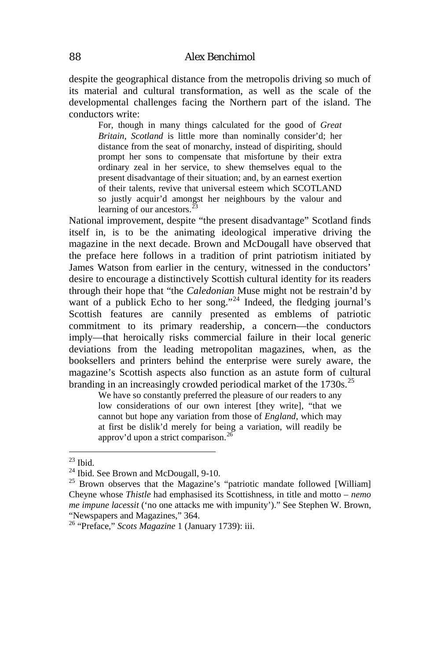despite the geographical distance from the metropolis driving so much of its material and cultural transformation, as well as the scale of the developmental challenges facing the Northern part of the island. The conductors write:

For, though in many things calculated for the good of *Great Britain*, *Scotland* is little more than nominally consider'd; her distance from the seat of monarchy, instead of dispiriting, should prompt her sons to compensate that misfortune by their extra ordinary zeal in her service, to shew themselves equal to the present disadvantage of their situation; and, by an earnest exertion of their talents, revive that universal esteem which SCOTLAND so justly acquir'd amongst her neighbours by the valour and learning of our ancestors.<sup>3</sup>

National improvement, despite "the present disadvantage" Scotland finds itself in, is to be the animating ideological imperative driving the magazine in the next decade. Brown and McDougall have observed that the preface here follows in a tradition of print patriotism initiated by James Watson from earlier in the century, witnessed in the conductors' desire to encourage a distinctively Scottish cultural identity for its readers through their hope that "the *Caledonian* Muse might not be restrain'd by want of a publick Echo to her song."<sup>[24](#page-7-0)</sup> Indeed, the fledging journal's Scottish features are cannily presented as emblems of patriotic commitment to its primary readership, a concern—the conductors imply—that heroically risks commercial failure in their local generic deviations from the leading metropolitan magazines, when, as the booksellers and printers behind the enterprise were surely aware, the magazine's Scottish aspects also function as an astute form of cultural branding in an increasingly crowded periodical market of the 1730s.<sup>[25](#page-7-1)</sup>

We have so constantly preferred the pleasure of our readers to any low considerations of our own interest [they write], "that we cannot but hope any variation from those of *England*, which may at first be dislik'd merely for being a variation, will readily be approv'd upon a strict comparison.<sup>[26](#page-7-2)</sup>

<span id="page-7-1"></span><span id="page-7-0"></span>

<sup>&</sup>lt;sup>23</sup> Ibid.<br><sup>24</sup> Ibid. See Brown and McDougall, 9-10.<br><sup>25</sup> Brown observes that the Magazine's "patriotic mandate followed [William] Cheyne whose *Thistle* had emphasised its Scottishness, in title and motto – *nemo me impune lacessit* ('no one attacks me with impunity')." See Stephen W. Brown, "Newspapers and Magazines," 364. 26 "Preface," *Scots Magazine* 1 (January 1739): iii.

<span id="page-7-3"></span><span id="page-7-2"></span>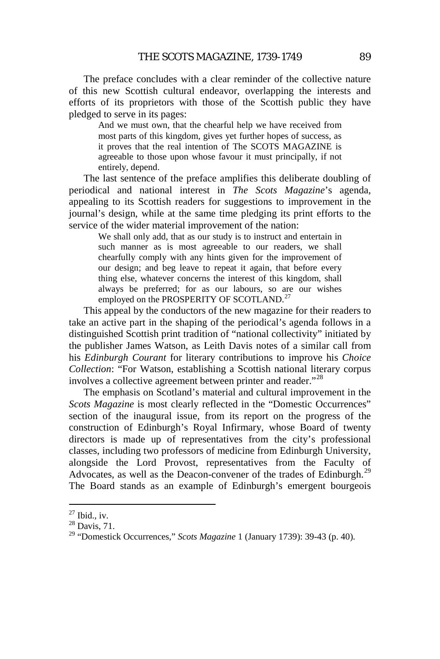The preface concludes with a clear reminder of the collective nature of this new Scottish cultural endeavor, overlapping the interests and efforts of its proprietors with those of the Scottish public they have pledged to serve in its pages:

And we must own, that the chearful help we have received from most parts of this kingdom, gives yet further hopes of success, as it proves that the real intention of The SCOTS MAGAZINE is agreeable to those upon whose favour it must principally, if not entirely, depend.

The last sentence of the preface amplifies this deliberate doubling of periodical and national interest in *The Scots Magazine*'s agenda, appealing to its Scottish readers for suggestions to improvement in the journal's design, while at the same time pledging its print efforts to the service of the wider material improvement of the nation:

We shall only add, that as our study is to instruct and entertain in such manner as is most agreeable to our readers, we shall chearfully comply with any hints given for the improvement of our design; and beg leave to repeat it again, that before every thing else, whatever concerns the interest of this kingdom, shall always be preferred; for as our labours, so are our wishes employed on the PROSPERITY OF SCOTLAND.<sup>[27](#page-7-3)</sup>

This appeal by the conductors of the new magazine for their readers to take an active part in the shaping of the periodical's agenda follows in a distinguished Scottish print tradition of "national collectivity" initiated by the publisher James Watson, as Leith Davis notes of a similar call from his *Edinburgh Courant* for literary contributions to improve his *Choice Collection*: "For Watson, establishing a Scottish national literary corpus involves a collective agreement between printer and reader."[28](#page-8-0)

<span id="page-8-2"></span>The emphasis on Scotland's material and cultural improvement in the *Scots Magazine* is most clearly reflected in the "Domestic Occurrences" section of the inaugural issue, from its report on the progress of the construction of Edinburgh's Royal Infirmary, whose Board of twenty directors is made up of representatives from the city's professional classes, including two professors of medicine from Edinburgh University, alongside the Lord Provost, representatives from the Faculty of Advocates, as well as the Deacon-convener of the trades of Edinburgh.<sup>[29](#page-8-1)</sup> The Board stands as an example of Edinburgh's emergent bourgeois

<span id="page-8-1"></span><span id="page-8-0"></span>

<sup>27</sup> Ibid., iv. <sup>28</sup> Davis, 71. <sup>29</sup> "Domestick Occurrences," *Scots Magazine* 1 (January 1739): 39-43 (p. 40).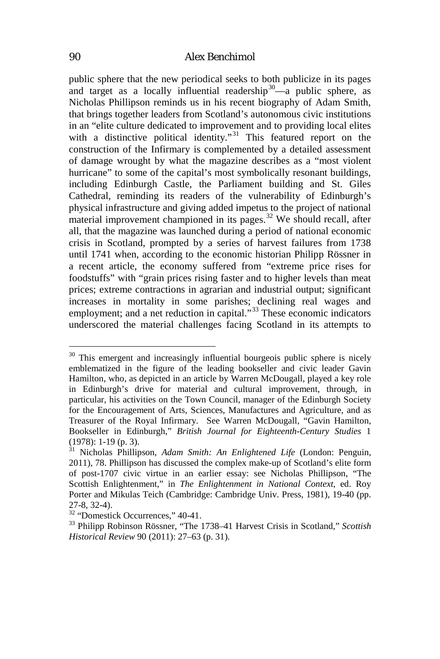public sphere that the new periodical seeks to both publicize in its pages and target as a locally influential readership<sup>[30](#page-8-2)</sup>—a public sphere, as Nicholas Phillipson reminds us in his recent biography of Adam Smith, that brings together leaders from Scotland's autonomous civic institutions in an "elite culture dedicated to improvement and to providing local elites with a distinctive political identity."<sup>[31](#page-9-0)</sup> This featured report on the construction of the Infirmary is complemented by a detailed assessment of damage wrought by what the magazine describes as a "most violent hurricane" to some of the capital's most symbolically resonant buildings, including Edinburgh Castle, the Parliament building and St. Giles Cathedral, reminding its readers of the vulnerability of Edinburgh's physical infrastructure and giving added impetus to the project of national material improvement championed in its pages.<sup>[32](#page-9-1)</sup> We should recall, after all, that the magazine was launched during a period of national economic crisis in Scotland, prompted by a series of harvest failures from 1738 until 1741 when, according to the economic historian Philipp Rössner in a recent article, the economy suffered from "extreme price rises for foodstuffs" with "grain prices rising faster and to higher levels than meat prices; extreme contractions in agrarian and industrial output; significant increases in mortality in some parishes; declining real wages and employment; and a net reduction in capital."<sup>[33](#page-9-2)</sup> These economic indicators underscored the material challenges facing Scotland in its attempts to

<sup>&</sup>lt;sup>30</sup> This emergent and increasingly influential bourgeois public sphere is nicely emblematized in the figure of the leading bookseller and civic leader Gavin Hamilton, who, as depicted in an article by Warren McDougall, played a key role in Edinburgh's drive for material and cultural improvement, through, in particular, his activities on the Town Council, manager of the Edinburgh Society for the Encouragement of Arts, Sciences, Manufactures and Agriculture, and as Treasurer of the Royal Infirmary. See Warren McDougall, "Gavin Hamilton, Bookseller in Edinburgh," *British Journal for Eighteenth-Century Studies* 1 (1978): 1-19 (p. 3). 31 Nicholas Phillipson, *Adam Smith: An Enlightened Life* (London: Penguin,

<span id="page-9-3"></span><span id="page-9-0"></span><sup>2011), 78.</sup> Phillipson has discussed the complex make-up of Scotland's elite form of post-1707 civic virtue in an earlier essay: see Nicholas Phillipson, "The Scottish Enlightenment," in *The Enlightenment in National Context*, ed. Roy Porter and Mikulas Teich (Cambridge: Cambridge Univ. Press, 1981), 19-40 (pp.

<span id="page-9-2"></span><span id="page-9-1"></span><sup>&</sup>lt;sup>32</sup> "Domestick Occurrences," 40-41.<br><sup>33</sup> Philipp Robinson Rössner, "The 1738–41 Harvest Crisis in Scotland," *Scottish Historical Review* 90 (2011): 27–63 (p. 31).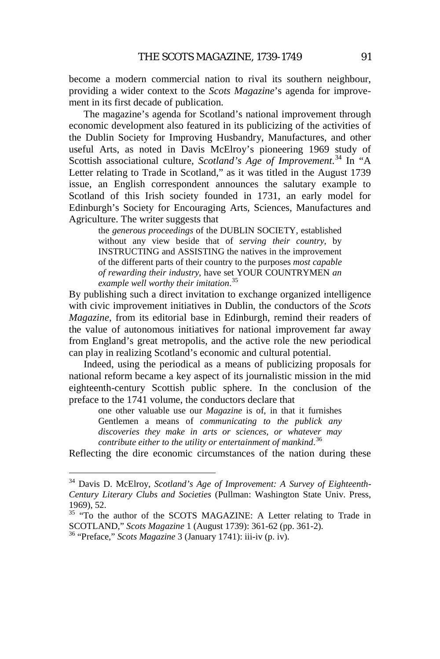become a modern commercial nation to rival its southern neighbour, providing a wider context to the *Scots Magazine*'s agenda for improvement in its first decade of publication.

The magazine's agenda for Scotland's national improvement through economic development also featured in its publicizing of the activities of the Dublin Society for Improving Husbandry, Manufactures, and other useful Arts, as noted in Davis McElroy's pioneering 1969 study of Scottish associational culture, *Scotland's Age of Improvement*. [34](#page-9-3) In "A Letter relating to Trade in Scotland," as it was titled in the August 1739 issue, an English correspondent announces the salutary example to Scotland of this Irish society founded in 1731, an early model for Edinburgh's Society for Encouraging Arts, Sciences, Manufactures and Agriculture. The writer suggests that

the *generous proceedings* of the DUBLIN SOCIETY, established without any view beside that of *serving their country*, by INSTRUCTING and ASSISTING the natives in the improvement of the different parts of their country to the purposes *most capable of rewarding their industry*, have set YOUR COUNTRYMEN *an example well worthy their imitation*. [35](#page-10-0)

By publishing such a direct invitation to exchange organized intelligence with civic improvement initiatives in Dublin, the conductors of the *Scots Magazine*, from its editorial base in Edinburgh, remind their readers of the value of autonomous initiatives for national improvement far away from England's great metropolis, and the active role the new periodical can play in realizing Scotland's economic and cultural potential.

Indeed, using the periodical as a means of publicizing proposals for national reform became a key aspect of its journalistic mission in the mid eighteenth-century Scottish public sphere. In the conclusion of the preface to the 1741 volume, the conductors declare that

one other valuable use our *Magazine* is of, in that it furnishes Gentlemen a means of *communicating to the publick any discoveries they make in arts or sciences, or whatever may contribute either to the utility or entertainment of mankind*. [36](#page-10-1)

Reflecting the dire economic circumstances of the nation during these

<span id="page-10-2"></span> <sup>34</sup> Davis D. McElroy, *Scotland's Age of Improvement: A Survey of Eighteenth-Century Literary Clubs and Societies* (Pullman: Washington State Univ. Press, 1969), 52.

<span id="page-10-0"></span><sup>&</sup>lt;sup>35</sup> "To the author of the SCOTS MAGAZINE: A Letter relating to Trade in SCOTLAND," *Scots Magazine* 1 (August 1739): 361-62 (pp. 361-2). <sup>36</sup> "Preface," *Scots Magazine* 3 (January 1741): iii-iv (p. iv).

<span id="page-10-1"></span>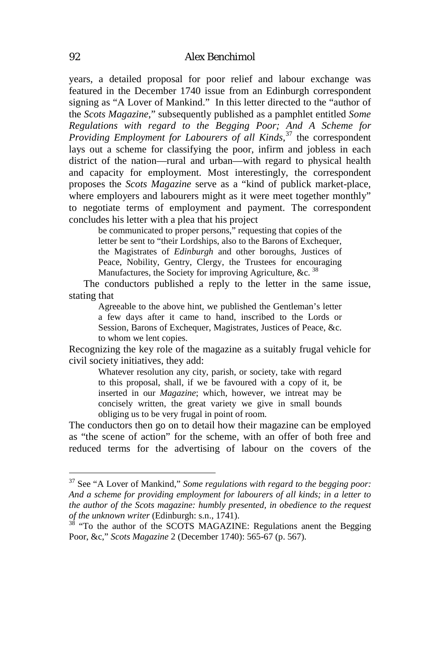years, a detailed proposal for poor relief and labour exchange was featured in the December 1740 issue from an Edinburgh correspondent signing as "A Lover of Mankind." In this letter directed to the "author of the *Scots Magazine*," subsequently published as a pamphlet entitled *Some Regulations with regard to the Begging Poor; And A Scheme for Providing Employment for Labourers of all Kinds,*[37](#page-10-2) the correspondent lays out a scheme for classifying the poor, infirm and jobless in each district of the nation—rural and urban—with regard to physical health and capacity for employment. Most interestingly, the correspondent proposes the *Scots Magazine* serve as a "kind of publick market-place, where employers and labourers might as it were meet together monthly" to negotiate terms of employment and payment. The correspondent concludes his letter with a plea that his project

be communicated to proper persons," requesting that copies of the letter be sent to "their Lordships, also to the Barons of Exchequer, the Magistrates of *Edinburgh* and other boroughs, Justices of Peace, Nobility, Gentry, Clergy, the Trustees for encouraging Manufactures, the Society for improving Agriculture, &c.  $38$ 

The conductors published a reply to the letter in the same issue, stating that

Agreeable to the above hint, we published the Gentleman's letter a few days after it came to hand, inscribed to the Lords or Session, Barons of Exchequer, Magistrates, Justices of Peace, &c. to whom we lent copies.

<span id="page-11-1"></span>Recognizing the key role of the magazine as a suitably frugal vehicle for civil society initiatives, they add:

Whatever resolution any city, parish, or society, take with regard to this proposal, shall, if we be favoured with a copy of it, be inserted in our *Magazine*; which, however, we intreat may be concisely written, the great variety we give in small bounds obliging us to be very frugal in point of room.

The conductors then go on to detail how their magazine can be employed as "the scene of action" for the scheme, with an offer of both free and reduced terms for the advertising of labour on the covers of the

 <sup>37</sup> See "A Lover of Mankind," *Some regulations with regard to the begging poor: And a scheme for providing employment for labourers of all kinds; in a letter to the author of the Scots magazine: humbly presented, in obedience to the request of the unknown writer* (Edinburgh: s.n., 1741).<br><sup>38</sup> "To the author of the SCOTS MAGAZINE: Regulations anent the Begging

<span id="page-11-0"></span>Poor, &c," *Scots Magazine* 2 (December 1740): 565-67 (p. 567).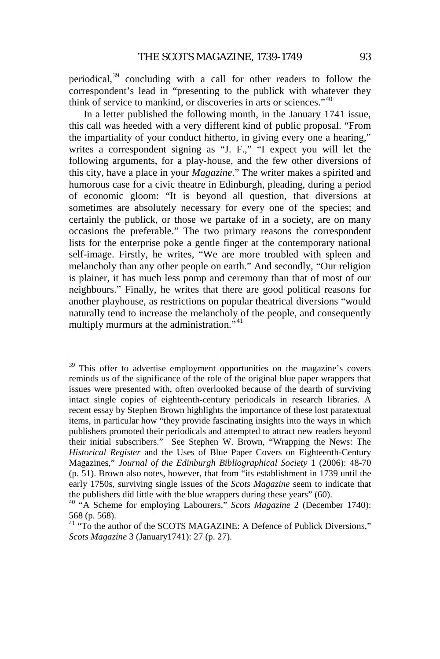periodical,<sup>[39](#page-11-1)</sup> concluding with a call for other readers to follow the correspondent's lead in "presenting to the publick with whatever they think of service to mankind, or discoveries in arts or sciences."[40](#page-12-0)

In a letter published the following month, in the January 1741 issue, this call was heeded with a very different kind of public proposal. "From the impartiality of your conduct hitherto, in giving every one a hearing," writes a correspondent signing as "J. F.," "I expect you will let the following arguments, for a play-house, and the few other diversions of this city, have a place in your *Magazine*." The writer makes a spirited and humorous case for a civic theatre in Edinburgh, pleading, during a period of economic gloom: "It is beyond all question, that diversions at sometimes are absolutely necessary for every one of the species; and certainly the publick, or those we partake of in a society, are on many occasions the preferable." The two primary reasons the correspondent lists for the enterprise poke a gentle finger at the contemporary national self-image. Firstly, he writes, "We are more troubled with spleen and melancholy than any other people on earth." And secondly, "Our religion is plainer, it has much less pomp and ceremony than that of most of our neighbours." Finally, he writes that there are good political reasons for another playhouse, as restrictions on popular theatrical diversions "would naturally tend to increase the melancholy of the people, and consequently multiply murmurs at the administration."<sup>[41](#page-12-1)</sup>

<sup>&</sup>lt;sup>39</sup> This offer to advertise employment opportunities on the magazine's covers reminds us of the significance of the role of the original blue paper wrappers that issues were presented with, often overlooked because of the dearth of surviving intact single copies of eighteenth-century periodicals in research libraries. A recent essay by Stephen Brown highlights the importance of these lost paratextual items, in particular how "they provide fascinating insights into the ways in which publishers promoted their periodicals and attempted to attract new readers beyond their initial subscribers." See Stephen W. Brown, "Wrapping the News: The *Historical Register* and the Uses of Blue Paper Covers on Eighteenth-Century Magazines," *Journal of the Edinburgh Bibliographical Society* 1 (2006): 48-70 (p. 51). Brown also notes, however, that from "its establishment in 1739 until the early 1750s, surviving single issues of the *Scots Magazine* seem to indicate that the publishers did little with the blue wrappers during these years" (60).

<span id="page-12-2"></span><span id="page-12-0"></span><sup>&</sup>lt;sup>40</sup> "A Scheme for employing Labourers," *Scots Magazine* 2 (December 1740): 568 (p. 568).

<span id="page-12-1"></span><sup>&</sup>lt;sup>41</sup> "To the author of the SCOTS MAGAZINE: A Defence of Publick Diversions," *Scots Magazine* 3 (January1741): 27 (p. 27).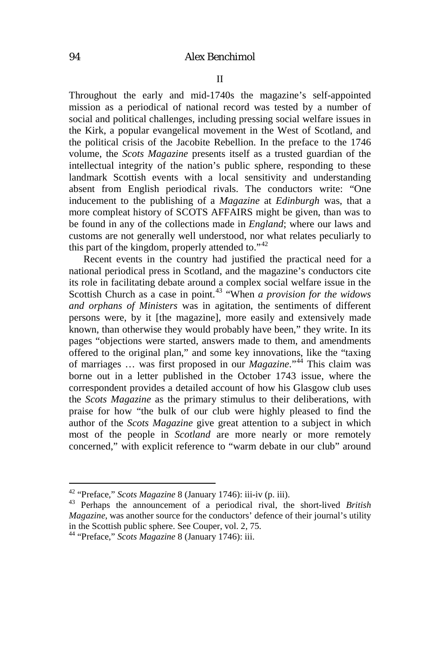Throughout the early and mid-1740s the magazine's self-appointed mission as a periodical of national record was tested by a number of social and political challenges, including pressing social welfare issues in the Kirk, a popular evangelical movement in the West of Scotland, and the political crisis of the Jacobite Rebellion. In the preface to the 1746 volume, the *Scots Magazine* presents itself as a trusted guardian of the intellectual integrity of the nation's public sphere, responding to these landmark Scottish events with a local sensitivity and understanding absent from English periodical rivals. The conductors write: "One inducement to the publishing of a *Magazine* at *Edinburgh* was, that a more compleat history of SCOTS AFFAIRS might be given, than was to be found in any of the collections made in *England*; where our laws and customs are not generally well understood, nor what relates peculiarly to this part of the kingdom, properly attended to. $142$  $142$ 

<span id="page-13-2"></span>Recent events in the country had justified the practical need for a national periodical press in Scotland, and the magazine's conductors cite its role in facilitating debate around a complex social welfare issue in the Scottish Church as a case in point.<sup>[43](#page-13-0)</sup> "When *a provision for the widows and orphans of Ministers* was in agitation, the sentiments of different persons were, by it [the magazine], more easily and extensively made known, than otherwise they would probably have been," they write. In its pages "objections were started, answers made to them, and amendments offered to the original plan," and some key innovations, like the "taxing of marriages … was first proposed in our *Magazine*."[44](#page-13-1) This claim was borne out in a letter published in the October 1743 issue, where the correspondent provides a detailed account of how his Glasgow club uses the *Scots Magazine* as the primary stimulus to their deliberations, with praise for how "the bulk of our club were highly pleased to find the author of the *Scots Magazine* give great attention to a subject in which most of the people in *Scotland* are more nearly or more remotely concerned," with explicit reference to "warm debate in our club" around

<span id="page-13-0"></span><sup>42</sup> "Preface," *Scots Magazine* 8 (January 1746): iii-iv (p. iii). <sup>43</sup> Perhaps the announcement of a periodical rival, the short-lived *British Magazine*, was another source for the conductors' defence of their journal's utility in the Scottish public sphere. See Couper, vol. 2, 75.

<span id="page-13-1"></span><sup>44</sup> "Preface," *Scots Magazine* 8 (January 1746): iii.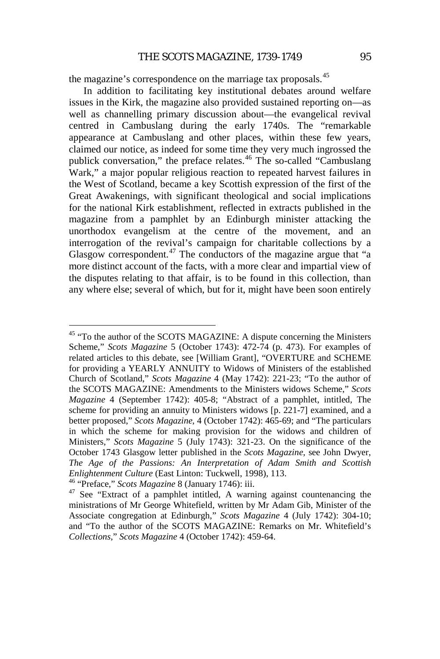the magazine's correspondence on the marriage tax proposals.<sup>[45](#page-13-2)</sup>

In addition to facilitating key institutional debates around welfare issues in the Kirk, the magazine also provided sustained reporting on—as well as channelling primary discussion about—the evangelical revival centred in Cambuslang during the early 1740s. The "remarkable appearance at Cambuslang and other places, within these few years, claimed our notice, as indeed for some time they very much ingrossed the publick conversation," the preface relates.<sup>[46](#page-14-0)</sup> The so-called "Cambuslang" Wark," a major popular religious reaction to repeated harvest failures in the West of Scotland, became a key Scottish expression of the first of the Great Awakenings, with significant theological and social implications for the national Kirk establishment, reflected in extracts published in the magazine from a pamphlet by an Edinburgh minister attacking the unorthodox evangelism at the centre of the movement, and an interrogation of the revival's campaign for charitable collections by a Glasgow correspondent.<sup>[47](#page-14-1)</sup> The conductors of the magazine argue that "a more distinct account of the facts, with a more clear and impartial view of the disputes relating to that affair, is to be found in this collection, than any where else; several of which, but for it, might have been soon entirely

<span id="page-14-2"></span><sup>&</sup>lt;sup>45</sup> "To the author of the SCOTS MAGAZINE: A dispute concerning the Ministers Scheme," *Scots Magazine* 5 (October 1743): 472-74 (p. 473). For examples of related articles to this debate, see [William Grant], "OVERTURE and SCHEME for providing a YEARLY ANNUITY to Widows of Ministers of the established Church of Scotland," *Scots Magazine* 4 (May 1742): 221-23; "To the author of the SCOTS MAGAZINE: Amendments to the Ministers widows Scheme," *Scots Magazine* 4 (September 1742): 405-8; "Abstract of a pamphlet, intitled, The scheme for providing an annuity to Ministers widows [p. 221-7] examined, and a better proposed," *Scots Magazine*, 4 (October 1742): 465-69; and "The particulars in which the scheme for making provision for the widows and children of Ministers," *Scots Magazine* 5 (July 1743): 321-23. On the significance of the October 1743 Glasgow letter published in the *Scots Magazine,* see John Dwyer, *The Age of the Passions: An Interpretation of Adam Smith and Scottish Enlightenment Culture* (East Linton: Tuckwell, 1998), 113.<br><sup>46</sup> "Preface," *Scots Magazine* 8 (January 1746): iii. 47 See "Extract of a pamphlet intitled, A warning against countenancing the

<span id="page-14-0"></span>

<span id="page-14-1"></span>ministrations of Mr George Whitefield, written by Mr Adam Gib, Minister of the Associate congregation at Edinburgh," *Scots Magazine* 4 (July 1742): 304-10; and "To the author of the SCOTS MAGAZINE: Remarks on Mr. Whitefield's *Collections*," *Scots Magazine* 4 (October 1742): 459-64.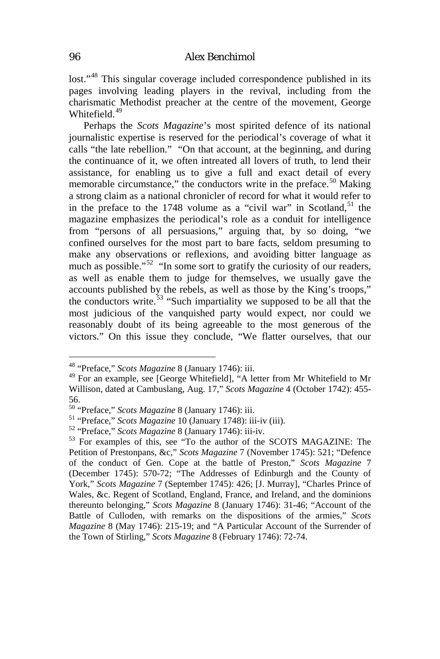lost."<sup>[48](#page-14-2)</sup> This singular coverage included correspondence published in its pages involving leading players in the revival, including from the charismatic Methodist preacher at the centre of the movement, George Whitefield.<sup>[49](#page-15-0)</sup>

Perhaps the *Scots Magazine*'s most spirited defence of its national journalistic expertise is reserved for the periodical's coverage of what it calls "the late rebellion." "On that account, at the beginning, and during the continuance of it, we often intreated all lovers of truth, to lend their assistance, for enabling us to give a full and exact detail of every memorable circumstance," the conductors write in the preface.<sup>[50](#page-15-1)</sup> Making a strong claim as a national chronicler of record for what it would refer to in the preface to the 1748 volume as a "civil war" in Scotland,  $51$  the magazine emphasizes the periodical's role as a conduit for intelligence from "persons of all persuasions," arguing that, by so doing, "we confined ourselves for the most part to bare facts, seldom presuming to make any observations or reflexions, and avoiding bitter language as much as possible."<sup>[52](#page-15-3)</sup> "In some sort to gratify the curiosity of our readers, as well as enable them to judge for themselves, we usually gave the accounts published by the rebels, as well as those by the King's troops," the conductors write.<sup>[53](#page-15-4)</sup> "Such impartiality we supposed to be all that the most judicious of the vanquished party would expect, nor could we reasonably doubt of its being agreeable to the most generous of the victors." On this issue they conclude, "We flatter ourselves, that our

<span id="page-15-0"></span><sup>&</sup>lt;sup>48</sup> "Preface," *Scots Magazine* 8 (January 1746): iii.<br><sup>49</sup> For an example, see [George Whitefield], "A letter from Mr Whitefield to Mr Willison, dated at Cambuslang, Aug. 17," *Scots Magazine* 4 (October 1742): 455-

<sup>56.&</sup>lt;br><sup>50</sup> "Preface," Scots Magazine 8 (January 1746): iii.

<span id="page-15-4"></span>

<span id="page-15-3"></span><span id="page-15-2"></span><span id="page-15-1"></span><sup>&</sup>lt;sup>51</sup> "Preface," *Scots Magazine* 10 (January 1748): iii-iv (iii).<br><sup>52</sup> "Preface," *Scots Magazine* 8 (January 1746): iii-iv.<br><sup>53</sup> For examples of this, see "To the author of the SCOTS MAGAZINE: The Petition of Prestonpans, &c," *Scots Magazine* 7 (November 1745): 521; "Defence of the conduct of Gen. Cope at the battle of Preston," *Scots Magazine* 7 (December 1745): 570-72; "The Addresses of Edinburgh and the County of York," *Scots Magazine* 7 (September 1745): 426; [J. Murray], "Charles Prince of Wales, &c. Regent of Scotland, England, France, and Ireland, and the dominions thereunto belonging," *Scots Magazine* 8 (January 1746): 31-46; "Account of the Battle of Culloden, with remarks on the dispositions of the armies," *Scots Magazine* 8 (May 1746): 215-19; and "A Particular Account of the Surrender of the Town of Stirling," *Scots Magazine* 8 (February 1746): 72-74.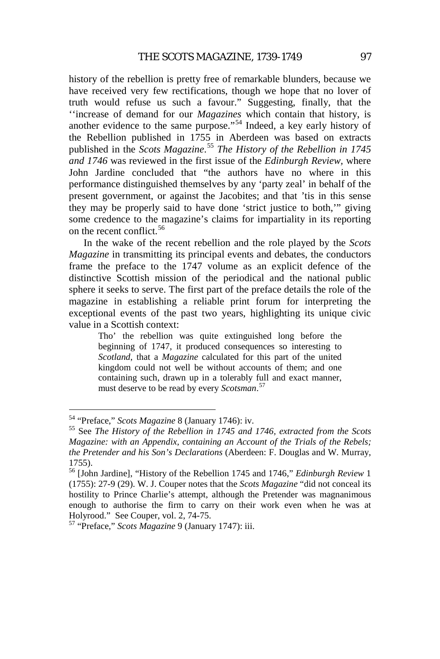history of the rebellion is pretty free of remarkable blunders, because we have received very few rectifications, though we hope that no lover of truth would refuse us such a favour." Suggesting, finally, that the ''increase of demand for our *Magazines* which contain that history, is another evidence to the same purpose."<sup>[54](#page-15-2)</sup> Indeed, a key early history of the Rebellion published in 1755 in Aberdeen was based on extracts published in the *Scots Magazine*. [55](#page-16-0) *The History of the Rebellion in 1745 and 1746* was reviewed in the first issue of the *Edinburgh Review,* where John Jardine concluded that "the authors have no where in this performance distinguished themselves by any 'party zeal' in behalf of the present government, or against the Jacobites; and that 'tis in this sense they may be properly said to have done 'strict justice to both,'" giving some credence to the magazine's claims for impartiality in its reporting on the recent conflict<sup>[56](#page-16-1)</sup>

In the wake of the recent rebellion and the role played by the *Scots Magazine* in transmitting its principal events and debates, the conductors frame the preface to the 1747 volume as an explicit defence of the distinctive Scottish mission of the periodical and the national public sphere it seeks to serve. The first part of the preface details the role of the magazine in establishing a reliable print forum for interpreting the exceptional events of the past two years, highlighting its unique civic value in a Scottish context:

Tho' the rebellion was quite extinguished long before the beginning of 1747, it produced consequences so interesting to *Scotland*, that a *Magazine* calculated for this part of the united kingdom could not well be without accounts of them; and one containing such, drawn up in a tolerably full and exact manner, must deserve to be read by every *Scotsman*. [57](#page-16-2)

<span id="page-16-0"></span><sup>&</sup>lt;sup>54</sup> "Preface," *Scots Magazine* 8 (January 1746): iv.<br><sup>55</sup> See *The History of the Rebellion in 1745 and 1746, extracted from the Scots Magazine: with an Appendix, containing an Account of the Trials of the Rebels; the Pretender and his Son's Declarations* (Aberdeen: F. Douglas and W. Murray, 1755).

<span id="page-16-1"></span><sup>56</sup> [John Jardine], "History of the Rebellion 1745 and 1746," *Edinburgh Review* 1 (1755): 27-9 (29). W. J. Couper notes that the *Scots Magazine* "did not conceal its hostility to Prince Charlie's attempt, although the Pretender was magnanimous enough to authorise the firm to carry on their work even when he was at Holyrood." See Couper, vol. 2, 74-75. <sup>57</sup> "Preface," *Scots Magazine* 9 (January 1747): iii.

<span id="page-16-3"></span><span id="page-16-2"></span>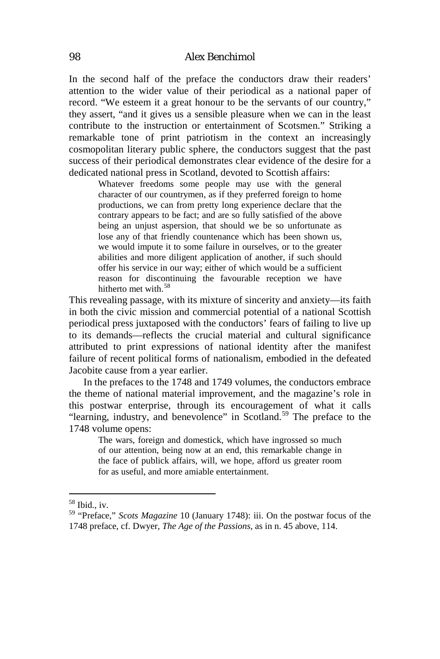In the second half of the preface the conductors draw their readers' attention to the wider value of their periodical as a national paper of record. "We esteem it a great honour to be the servants of our country," they assert, "and it gives us a sensible pleasure when we can in the least contribute to the instruction or entertainment of Scotsmen." Striking a remarkable tone of print patriotism in the context an increasingly cosmopolitan literary public sphere, the conductors suggest that the past success of their periodical demonstrates clear evidence of the desire for a dedicated national press in Scotland, devoted to Scottish affairs:

Whatever freedoms some people may use with the general character of our countrymen, as if they preferred foreign to home productions, we can from pretty long experience declare that the contrary appears to be fact; and are so fully satisfied of the above being an unjust aspersion, that should we be so unfortunate as lose any of that friendly countenance which has been shown us, we would impute it to some failure in ourselves, or to the greater abilities and more diligent application of another, if such should offer his service in our way; either of which would be a sufficient reason for discontinuing the favourable reception we have hitherto met with.<sup>[58](#page-16-3)</sup>

This revealing passage, with its mixture of sincerity and anxiety—its faith in both the civic mission and commercial potential of a national Scottish periodical press juxtaposed with the conductors' fears of failing to live up to its demands—reflects the crucial material and cultural significance attributed to print expressions of national identity after the manifest failure of recent political forms of nationalism, embodied in the defeated Jacobite cause from a year earlier.

In the prefaces to the 1748 and 1749 volumes, the conductors embrace the theme of national material improvement, and the magazine's role in this postwar enterprise, through its encouragement of what it calls "learning, industry, and benevolence" in Scotland.<sup>[59](#page-17-0)</sup> The preface to the 1748 volume opens:

The wars, foreign and domestick, which have ingrossed so much of our attention, being now at an end, this remarkable change in the face of publick affairs, will, we hope, afford us greater room for as useful, and more amiable entertainment.

<span id="page-17-1"></span>

<span id="page-17-0"></span><sup>&</sup>lt;sup>58</sup> Ibid., iv.<br><sup>59</sup> "Preface," *Scots Magazine* 10 (January 1748): iii. On the postwar focus of the 1748 preface, cf. Dwyer, *The Age of the Passions*, as in n. 45 above, 114.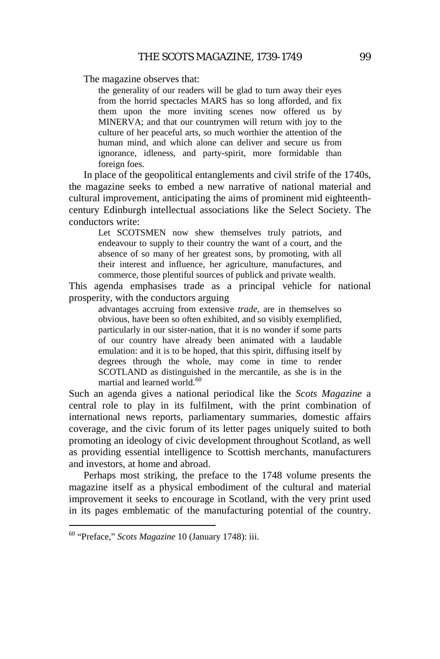The magazine observes that:

the generality of our readers will be glad to turn away their eyes from the horrid spectacles MARS has so long afforded, and fix them upon the more inviting scenes now offered us by MINERVA; and that our countrymen will return with joy to the culture of her peaceful arts, so much worthier the attention of the human mind, and which alone can deliver and secure us from ignorance, idleness, and party-spirit, more formidable than foreign foes.

In place of the geopolitical entanglements and civil strife of the 1740s, the magazine seeks to embed a new narrative of national material and cultural improvement, anticipating the aims of prominent mid eighteenthcentury Edinburgh intellectual associations like the Select Society. The conductors write:

Let SCOTSMEN now shew themselves truly patriots, and endeavour to supply to their country the want of a court, and the absence of so many of her greatest sons, by promoting, with all their interest and influence, her agriculture, manufactures, and commerce, those plentiful sources of publick and private wealth.

This agenda emphasises trade as a principal vehicle for national prosperity, with the conductors arguing

advantages accruing from extensive *trade*, are in themselves so obvious, have been so often exhibited, and so visibly exemplified, particularly in our sister-nation, that it is no wonder if some parts of our country have already been animated with a laudable emulation: and it is to be hoped, that this spirit, diffusing itself by degrees through the whole, may come in time to render SCOTLAND as distinguished in the mercantile, as she is in the martial and learned world.<sup>[60](#page-17-1)</sup>

Such an agenda gives a national periodical like the *Scots Magazine* a central role to play in its fulfilment, with the print combination of international news reports, parliamentary summaries, domestic affairs coverage, and the civic forum of its letter pages uniquely suited to both promoting an ideology of civic development throughout Scotland, as well as providing essential intelligence to Scottish merchants, manufacturers and investors, at home and abroad.

<span id="page-18-0"></span>Perhaps most striking, the preface to the 1748 volume presents the magazine itself as a physical embodiment of the cultural and material improvement it seeks to encourage in Scotland, with the very print used in its pages emblematic of the manufacturing potential of the country.

 <sup>60</sup> "Preface," *Scots Magazine* 10 (January 1748): iii.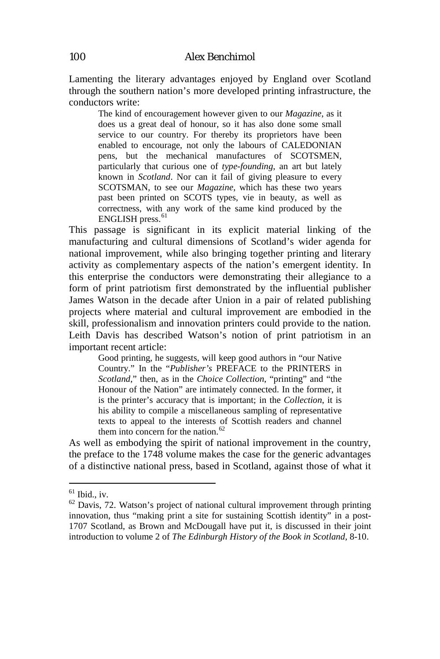Lamenting the literary advantages enjoyed by England over Scotland through the southern nation's more developed printing infrastructure, the conductors write:

The kind of encouragement however given to our *Magazine*, as it does us a great deal of honour, so it has also done some small service to our country. For thereby its proprietors have been enabled to encourage, not only the labours of CALEDONIAN pens, but the mechanical manufactures of SCOTSMEN, particularly that curious one of *type-founding*, an art but lately known in *Scotland*. Nor can it fail of giving pleasure to every SCOTSMAN, to see our *Magazine*, which has these two years past been printed on SCOTS types, vie in beauty, as well as correctness, with any work of the same kind produced by the  $ENGLISH$  press.<sup>[61](#page-18-0)</sup>

This passage is significant in its explicit material linking of the manufacturing and cultural dimensions of Scotland's wider agenda for national improvement, while also bringing together printing and literary activity as complementary aspects of the nation's emergent identity. In this enterprise the conductors were demonstrating their allegiance to a form of print patriotism first demonstrated by the influential publisher James Watson in the decade after Union in a pair of related publishing projects where material and cultural improvement are embodied in the skill, professionalism and innovation printers could provide to the nation. Leith Davis has described Watson's notion of print patriotism in an important recent article:

Good printing, he suggests, will keep good authors in "our Native Country." In the "*Publisher's* PREFACE to the PRINTERS in *Scotland*," then, as in the *Choice Collection*, "printing" and "the Honour of the Nation" are intimately connected. In the former, it is the printer's accuracy that is important; in the *Collection*, it is his ability to compile a miscellaneous sampling of representative texts to appeal to the interests of Scottish readers and channel them into concern for the nation.<sup>[62](#page-19-0)</sup>

As well as embodying the spirit of national improvement in the country, the preface to the 1748 volume makes the case for the generic advantages of a distinctive national press, based in Scotland, against those of what it

<span id="page-19-0"></span>

<span id="page-19-1"></span><sup>&</sup>lt;sup>61</sup> Ibid., iv.<br><sup>62</sup> Davis, 72. Watson's project of national cultural improvement through printing innovation, thus "making print a site for sustaining Scottish identity" in a post-1707 Scotland, as Brown and McDougall have put it, is discussed in their joint introduction to volume 2 of *The Edinburgh History of the Book in Scotland*, 8-10.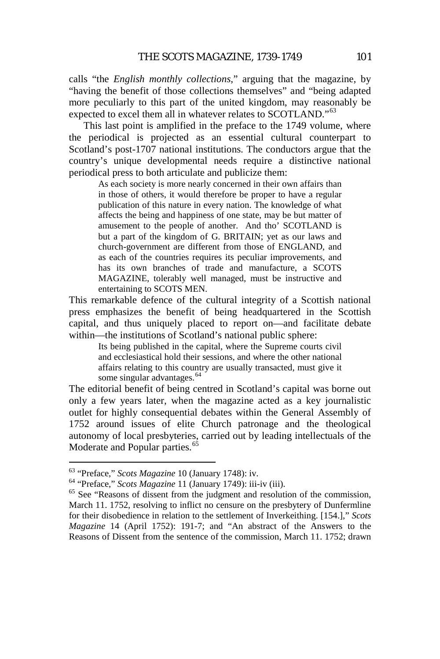calls "the *English monthly collections*," arguing that the magazine, by "having the benefit of those collections themselves" and "being adapted more peculiarly to this part of the united kingdom, may reasonably be expected to excel them all in whatever relates to SCOTLAND."<sup>[63](#page-19-1)</sup>

This last point is amplified in the preface to the 1749 volume, where the periodical is projected as an essential cultural counterpart to Scotland's post-1707 national institutions. The conductors argue that the country's unique developmental needs require a distinctive national periodical press to both articulate and publicize them:

As each society is more nearly concerned in their own affairs than in those of others, it would therefore be proper to have a regular publication of this nature in every nation. The knowledge of what affects the being and happiness of one state, may be but matter of amusement to the people of another. And tho' SCOTLAND is but a part of the kingdom of G. BRITAIN; yet as our laws and church-government are different from those of ENGLAND, and as each of the countries requires its peculiar improvements, and has its own branches of trade and manufacture, a SCOTS MAGAZINE, tolerably well managed, must be instructive and entertaining to SCOTS MEN.

This remarkable defence of the cultural integrity of a Scottish national press emphasizes the benefit of being headquartered in the Scottish capital, and thus uniquely placed to report on—and facilitate debate within—the institutions of Scotland's national public sphere:

Its being published in the capital, where the Supreme courts civil and ecclesiastical hold their sessions, and where the other national affairs relating to this country are usually transacted, must give it some singular advantages.<sup>[64](#page-20-0)</sup>

The editorial benefit of being centred in Scotland's capital was borne out only a few years later, when the magazine acted as a key journalistic outlet for highly consequential debates within the General Assembly of 1752 around issues of elite Church patronage and the theological autonomy of local presbyteries, carried out by leading intellectuals of the Moderate and Popular parties.<sup>[65](#page-20-1)</sup>

<span id="page-20-1"></span>

<span id="page-20-0"></span><sup>&</sup>lt;sup>63</sup> "Preface," *Scots Magazine* 10 (January 1748): iv.<br><sup>64</sup> "Preface," *Scots Magazine* 11 (January 1749): iii-iv (iii).<br><sup>65</sup> See "Reasons of dissent from the judgment and resolution of the commission, March 11. 1752, resolving to inflict no censure on the presbytery of Dunfermline for their disobedience in relation to the settlement of Inverkeithing. [154.]," *Scots Magazine* 14 (April 1752): 191-7; and "An abstract of the Answers to the Reasons of Dissent from the sentence of the commission, March 11. 1752; drawn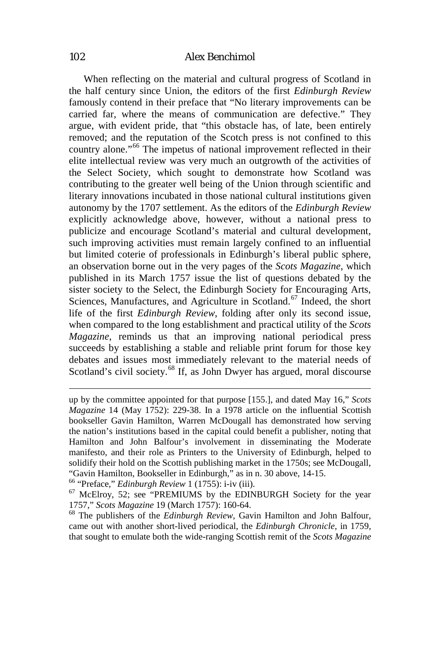#### 102 *Alex Benchimol*

When reflecting on the material and cultural progress of Scotland in the half century since Union, the editors of the first *Edinburgh Review* famously contend in their preface that "No literary improvements can be carried far, where the means of communication are defective." They argue, with evident pride, that "this obstacle has, of late, been entirely removed; and the reputation of the Scotch press is not confined to this country alone."[66](#page-20-0) The impetus of national improvement reflected in their elite intellectual review was very much an outgrowth of the activities of the Select Society, which sought to demonstrate how Scotland was contributing to the greater well being of the Union through scientific and literary innovations incubated in those national cultural institutions given autonomy by the 1707 settlement. As the editors of the *Edinburgh Review* explicitly acknowledge above, however, without a national press to publicize and encourage Scotland's material and cultural development, such improving activities must remain largely confined to an influential but limited coterie of professionals in Edinburgh's liberal public sphere, an observation borne out in the very pages of the *Scots Magazine*, which published in its March 1757 issue the list of questions debated by the sister society to the Select, the Edinburgh Society for Encouraging Arts, Sciences, Manufactures, and Agriculture in Scotland.<sup>[67](#page-21-0)</sup> Indeed, the short life of the first *Edinburgh Review*, folding after only its second issue, when compared to the long establishment and practical utility of the *Scots Magazine*, reminds us that an improving national periodical press succeeds by establishing a stable and reliable print forum for those key debates and issues most immediately relevant to the material needs of Scotland's civil society.<sup>[68](#page-21-1)</sup> If, as John Dwyer has argued, moral discourse

up by the committee appointed for that purpose [155.], and dated May 16," *Scots Magazine* 14 (May 1752): 229-38. In a 1978 article on the influential Scottish bookseller Gavin Hamilton, Warren McDougall has demonstrated how serving the nation's institutions based in the capital could benefit a publisher, noting that Hamilton and John Balfour's involvement in disseminating the Moderate manifesto, and their role as Printers to the University of Edinburgh, helped to solidify their hold on the Scottish publishing market in the 1750s; see McDougall, "Gavin Hamilton, Bookseller in Edinburgh," as in n. 30 above, 14-15.<br><sup>66</sup> "Preface," *Edinburgh Review* 1 (1755): i-iv (iii). <sup>67</sup> McElroy, 52; see "PREMIUMS by the EDINBURGH Society for the year

<span id="page-21-0"></span><sup>1757,&</sup>quot; *Scots Magazine* 19 (March 1757): 160-64. <sup>68</sup> The publishers of the *Edinburgh Review*, Gavin Hamilton and John Balfour,

<span id="page-21-1"></span>came out with another short-lived periodical, the *Edinburgh Chronicle*, in 1759, that sought to emulate both the wide-ranging Scottish remit of the *Scots Magazine*